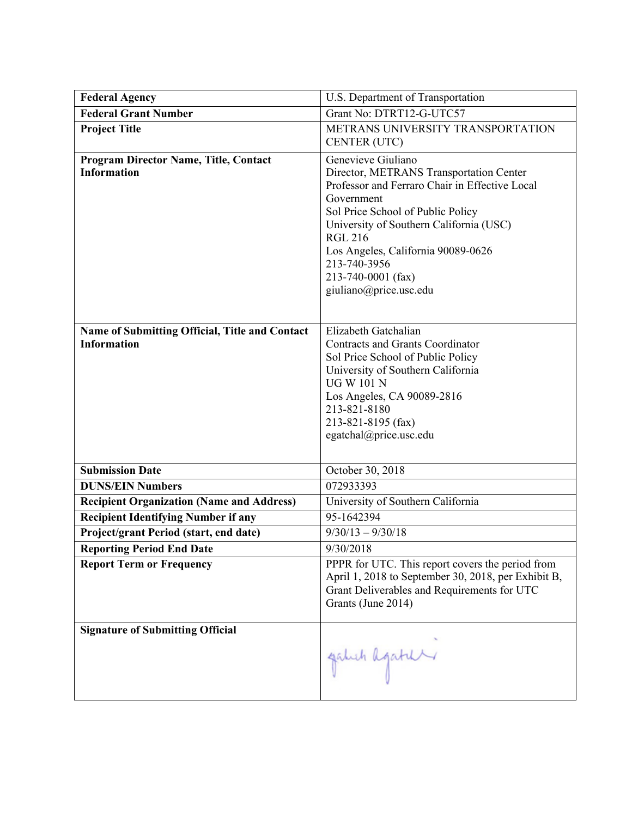| <b>Federal Agency</b>                                                | U.S. Department of Transportation                                                                                                                                                                                                                                                                                                     |
|----------------------------------------------------------------------|---------------------------------------------------------------------------------------------------------------------------------------------------------------------------------------------------------------------------------------------------------------------------------------------------------------------------------------|
| <b>Federal Grant Number</b>                                          | Grant No: DTRT12-G-UTC57                                                                                                                                                                                                                                                                                                              |
| <b>Project Title</b>                                                 | METRANS UNIVERSITY TRANSPORTATION<br>CENTER (UTC)                                                                                                                                                                                                                                                                                     |
| Program Director Name, Title, Contact<br><b>Information</b>          | Genevieve Giuliano<br>Director, METRANS Transportation Center<br>Professor and Ferraro Chair in Effective Local<br>Government<br>Sol Price School of Public Policy<br>University of Southern California (USC)<br><b>RGL 216</b><br>Los Angeles, California 90089-0626<br>213-740-3956<br>213-740-0001 (fax)<br>giuliano@price.usc.edu |
| Name of Submitting Official, Title and Contact<br><b>Information</b> | Elizabeth Gatchalian<br><b>Contracts and Grants Coordinator</b><br>Sol Price School of Public Policy<br>University of Southern California<br><b>UG W 101 N</b><br>Los Angeles, CA 90089-2816<br>213-821-8180<br>213-821-8195 (fax)<br>egatchal@price.usc.edu                                                                          |
| <b>Submission Date</b>                                               | October 30, 2018                                                                                                                                                                                                                                                                                                                      |
| <b>DUNS/EIN Numbers</b>                                              | 072933393                                                                                                                                                                                                                                                                                                                             |
| <b>Recipient Organization (Name and Address)</b>                     | University of Southern California                                                                                                                                                                                                                                                                                                     |
| <b>Recipient Identifying Number if any</b>                           | 95-1642394                                                                                                                                                                                                                                                                                                                            |
| Project/grant Period (start, end date)                               | $9/30/13 - 9/30/18$                                                                                                                                                                                                                                                                                                                   |
| <b>Reporting Period End Date</b>                                     | 9/30/2018                                                                                                                                                                                                                                                                                                                             |
| <b>Report Term or Frequency</b>                                      | PPPR for UTC. This report covers the period from<br>April 1, 2018 to September 30, 2018, per Exhibit B,<br>Grant Deliverables and Requirements for UTC<br>Grants (June 2014)                                                                                                                                                          |
| <b>Signature of Submitting Official</b>                              | galuh agatur                                                                                                                                                                                                                                                                                                                          |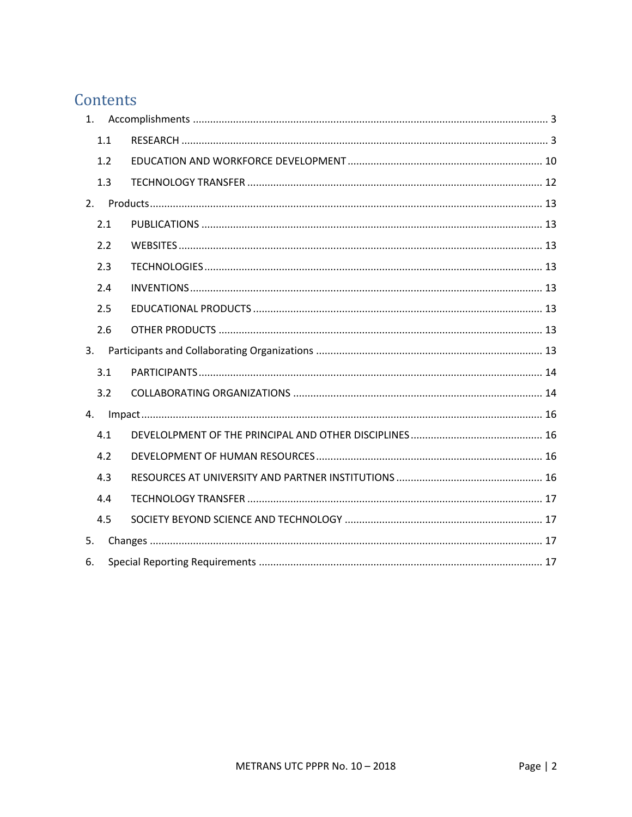# Contents

|    | 1.1 |  |
|----|-----|--|
|    | 1.2 |  |
|    | 1.3 |  |
|    |     |  |
|    | 2.1 |  |
|    | 2.2 |  |
|    | 2.3 |  |
|    | 2.4 |  |
|    | 2.5 |  |
|    | 2.6 |  |
|    |     |  |
|    | 3.1 |  |
|    | 3.2 |  |
| 4. |     |  |
|    | 4.1 |  |
|    | 4.2 |  |
|    | 4.3 |  |
|    | 4.4 |  |
|    | 4.5 |  |
| 5. |     |  |
| 6. |     |  |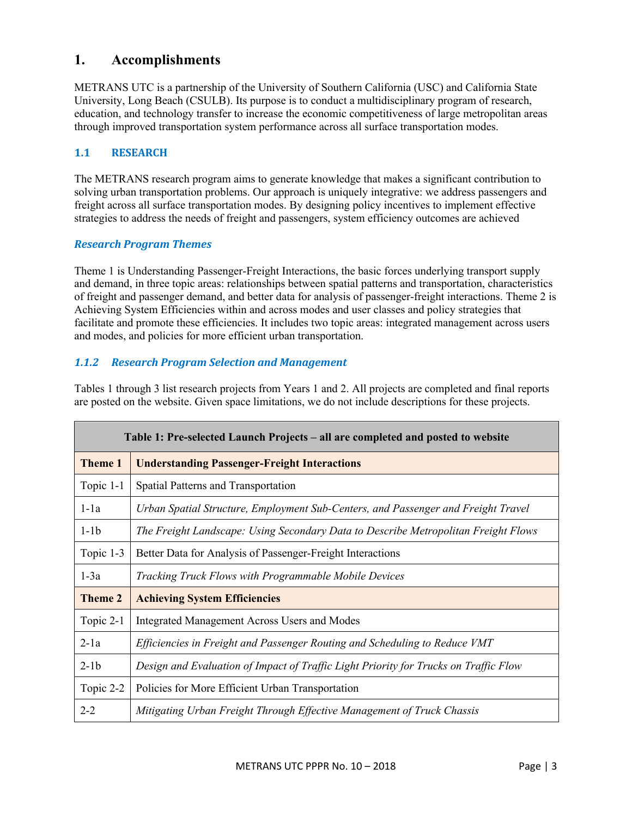# **1. Accomplishments**

METRANS UTC is a partnership of the University of Southern California (USC) and California State University, Long Beach (CSULB). Its purpose is to conduct a multidisciplinary program of research, education, and technology transfer to increase the economic competitiveness of large metropolitan areas through improved transportation system performance across all surface transportation modes.

# **1.1 RESEARCH**

The METRANS research program aims to generate knowledge that makes a significant contribution to solving urban transportation problems. Our approach is uniquely integrative: we address passengers and freight across all surface transportation modes. By designing policy incentives to implement effective strategies to address the needs of freight and passengers, system efficiency outcomes are achieved

#### *Research Program Themes*

Theme 1 is Understanding Passenger-Freight Interactions, the basic forces underlying transport supply and demand, in three topic areas: relationships between spatial patterns and transportation, characteristics of freight and passenger demand, and better data for analysis of passenger-freight interactions. Theme 2 is Achieving System Efficiencies within and across modes and user classes and policy strategies that facilitate and promote these efficiencies. It includes two topic areas: integrated management across users and modes, and policies for more efficient urban transportation.

# *1.1.2 Research Program Selection and Management*

Tables 1 through 3 list research projects from Years 1 and 2. All projects are completed and final reports are posted on the website. Given space limitations, we do not include descriptions for these projects.

| Table 1: Pre-selected Launch Projects – all are completed and posted to website |                                                                                      |  |
|---------------------------------------------------------------------------------|--------------------------------------------------------------------------------------|--|
| <b>Theme 1</b>                                                                  | <b>Understanding Passenger-Freight Interactions</b>                                  |  |
| Topic 1-1                                                                       | Spatial Patterns and Transportation                                                  |  |
| $1-1a$                                                                          | Urban Spatial Structure, Employment Sub-Centers, and Passenger and Freight Travel    |  |
| $1-1b$                                                                          | The Freight Landscape: Using Secondary Data to Describe Metropolitan Freight Flows   |  |
| Topic 1-3                                                                       | Better Data for Analysis of Passenger-Freight Interactions                           |  |
| $1-3a$                                                                          | Tracking Truck Flows with Programmable Mobile Devices                                |  |
| Theme 2                                                                         | <b>Achieving System Efficiencies</b>                                                 |  |
| Topic 2-1                                                                       | <b>Integrated Management Across Users and Modes</b>                                  |  |
| $2-1a$                                                                          | Efficiencies in Freight and Passenger Routing and Scheduling to Reduce VMT           |  |
| $2-1b$                                                                          | Design and Evaluation of Impact of Traffic Light Priority for Trucks on Traffic Flow |  |
| Topic 2-2                                                                       | Policies for More Efficient Urban Transportation                                     |  |
| $2 - 2$                                                                         | Mitigating Urban Freight Through Effective Management of Truck Chassis               |  |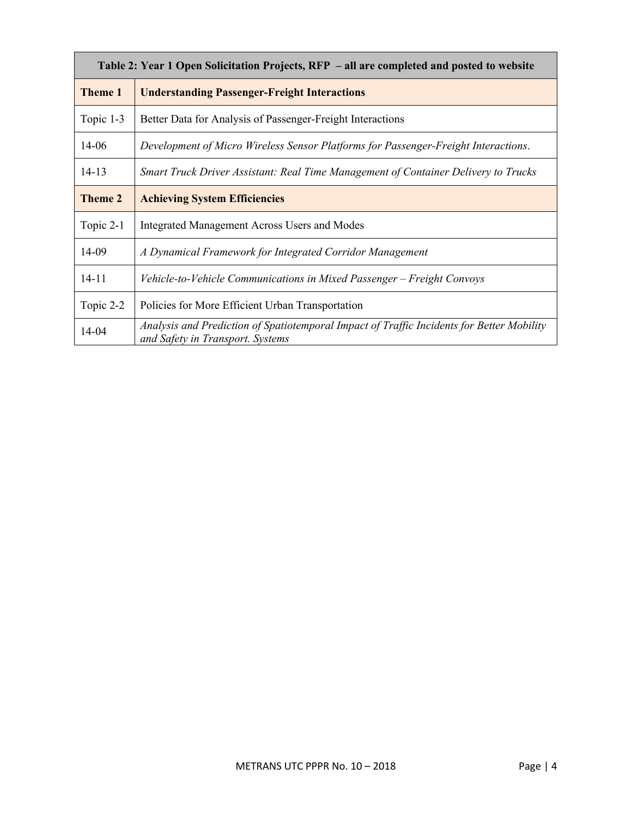| Table 2: Year 1 Open Solicitation Projects, RFP - all are completed and posted to website |                                                                                                                               |  |
|-------------------------------------------------------------------------------------------|-------------------------------------------------------------------------------------------------------------------------------|--|
| <b>Theme 1</b>                                                                            | <b>Understanding Passenger-Freight Interactions</b>                                                                           |  |
| Topic 1-3                                                                                 | Better Data for Analysis of Passenger-Freight Interactions                                                                    |  |
| $14-06$                                                                                   | Development of Micro Wireless Sensor Platforms for Passenger-Freight Interactions.                                            |  |
| $14 - 13$                                                                                 | Smart Truck Driver Assistant: Real Time Management of Container Delivery to Trucks                                            |  |
| <b>Theme 2</b>                                                                            | <b>Achieving System Efficiencies</b>                                                                                          |  |
| Topic 2-1                                                                                 | <b>Integrated Management Across Users and Modes</b>                                                                           |  |
| 14-09                                                                                     | A Dynamical Framework for Integrated Corridor Management                                                                      |  |
| $14 - 11$                                                                                 | Vehicle-to-Vehicle Communications in Mixed Passenger - Freight Convoys                                                        |  |
| Topic 2-2                                                                                 | Policies for More Efficient Urban Transportation                                                                              |  |
| 14-04                                                                                     | Analysis and Prediction of Spatiotemporal Impact of Traffic Incidents for Better Mobility<br>and Safety in Transport. Systems |  |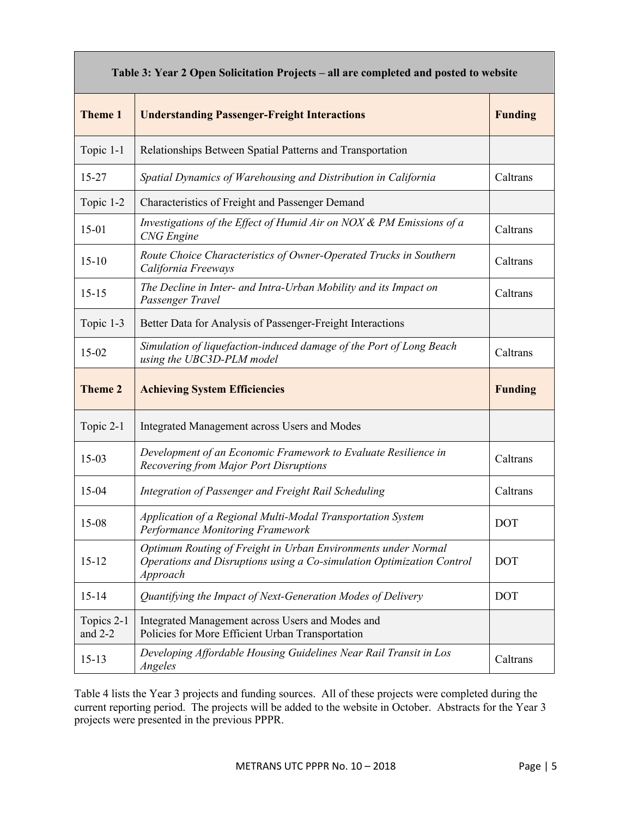| Table 3: Year 2 Open Solicitation Projects – all are completed and posted to website |                                                                                                                                                    |            |
|--------------------------------------------------------------------------------------|----------------------------------------------------------------------------------------------------------------------------------------------------|------------|
| <b>Theme 1</b>                                                                       | <b>Understanding Passenger-Freight Interactions</b>                                                                                                |            |
| Topic 1-1                                                                            | Relationships Between Spatial Patterns and Transportation                                                                                          |            |
| $15 - 27$                                                                            | Caltrans<br>Spatial Dynamics of Warehousing and Distribution in California                                                                         |            |
| Topic 1-2                                                                            | Characteristics of Freight and Passenger Demand                                                                                                    |            |
| $15 - 01$                                                                            | Investigations of the Effect of Humid Air on NOX & PM Emissions of a<br><b>CNG</b> Engine                                                          | Caltrans   |
| $15 - 10$                                                                            | Route Choice Characteristics of Owner-Operated Trucks in Southern<br>California Freeways                                                           | Caltrans   |
| $15 - 15$                                                                            | The Decline in Inter- and Intra-Urban Mobility and its Impact on<br>Passenger Travel                                                               | Caltrans   |
| Topic 1-3                                                                            | Better Data for Analysis of Passenger-Freight Interactions                                                                                         |            |
| 15-02                                                                                | Simulation of liquefaction-induced damage of the Port of Long Beach<br>Caltrans<br>using the UBC3D-PLM model                                       |            |
| <b>Theme 2</b>                                                                       | <b>Achieving System Efficiencies</b>                                                                                                               |            |
|                                                                                      |                                                                                                                                                    |            |
| Topic 2-1                                                                            | Integrated Management across Users and Modes                                                                                                       |            |
| $15-03$                                                                              | Development of an Economic Framework to Evaluate Resilience in<br>Recovering from Major Port Disruptions                                           | Caltrans   |
| $15 - 04$                                                                            | Integration of Passenger and Freight Rail Scheduling                                                                                               | Caltrans   |
| 15-08                                                                                | Application of a Regional Multi-Modal Transportation System<br><b>Performance Monitoring Framework</b>                                             | DOT        |
| $15 - 12$                                                                            | Optimum Routing of Freight in Urban Environments under Normal<br>Operations and Disruptions using a Co-simulation Optimization Control<br>Approach | <b>DOT</b> |
| $15 - 14$                                                                            | Quantifying the Impact of Next-Generation Modes of Delivery                                                                                        | <b>DOT</b> |
| Topics 2-1<br>and $2-2$                                                              | Integrated Management across Users and Modes and<br>Policies for More Efficient Urban Transportation                                               |            |

Table 4 lists the Year 3 projects and funding sources. All of these projects were completed during the current reporting period. The projects will be added to the website in October. Abstracts for the Year 3 projects were presented in the previous PPPR.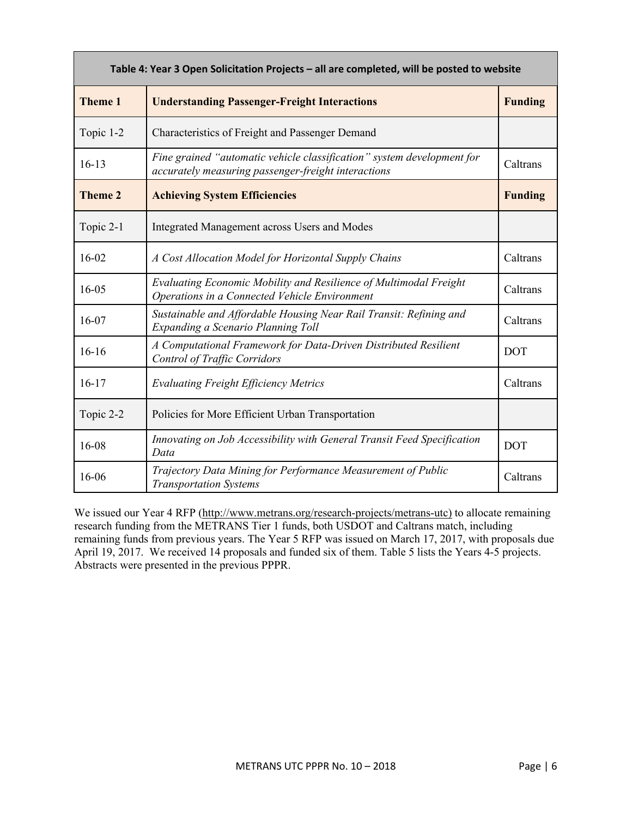| Table 4: Year 3 Open Solicitation Projects - all are completed, will be posted to website |                                                                                                                                           |            |  |
|-------------------------------------------------------------------------------------------|-------------------------------------------------------------------------------------------------------------------------------------------|------------|--|
| <b>Theme 1</b>                                                                            | <b>Understanding Passenger-Freight Interactions</b>                                                                                       |            |  |
| Topic 1-2                                                                                 | Characteristics of Freight and Passenger Demand                                                                                           |            |  |
| $16-13$                                                                                   | Fine grained "automatic vehicle classification" system development for<br>Caltrans<br>accurately measuring passenger-freight interactions |            |  |
| <b>Theme 2</b>                                                                            | <b>Achieving System Efficiencies</b><br><b>Funding</b>                                                                                    |            |  |
| Topic 2-1                                                                                 | Integrated Management across Users and Modes                                                                                              |            |  |
| $16 - 02$                                                                                 | Caltrans<br>A Cost Allocation Model for Horizontal Supply Chains                                                                          |            |  |
| $16 - 05$                                                                                 | Evaluating Economic Mobility and Resilience of Multimodal Freight<br>Caltrans<br>Operations in a Connected Vehicle Environment            |            |  |
| 16-07                                                                                     | Sustainable and Affordable Housing Near Rail Transit: Refining and<br>Caltrans<br>Expanding a Scenario Planning Toll                      |            |  |
| $16 - 16$                                                                                 | A Computational Framework for Data-Driven Distributed Resilient<br><b>DOT</b><br><b>Control of Traffic Corridors</b>                      |            |  |
| $16 - 17$                                                                                 | Caltrans<br><b>Evaluating Freight Efficiency Metrics</b>                                                                                  |            |  |
| Topic 2-2                                                                                 | Policies for More Efficient Urban Transportation                                                                                          |            |  |
| 16-08                                                                                     | Innovating on Job Accessibility with General Transit Feed Specification<br>Data                                                           | <b>DOT</b> |  |
| 16-06                                                                                     | Trajectory Data Mining for Performance Measurement of Public<br><b>Transportation Systems</b>                                             | Caltrans   |  |

We issued our Year 4 RFP (http://www.metrans.org/research-projects/metrans-utc) to allocate remaining research funding from the METRANS Tier 1 funds, both USDOT and Caltrans match, including remaining funds from previous years. The Year 5 RFP was issued on March 17, 2017, with proposals due April 19, 2017. We received 14 proposals and funded six of them. Table 5 lists the Years 4-5 projects. Abstracts were presented in the previous PPPR.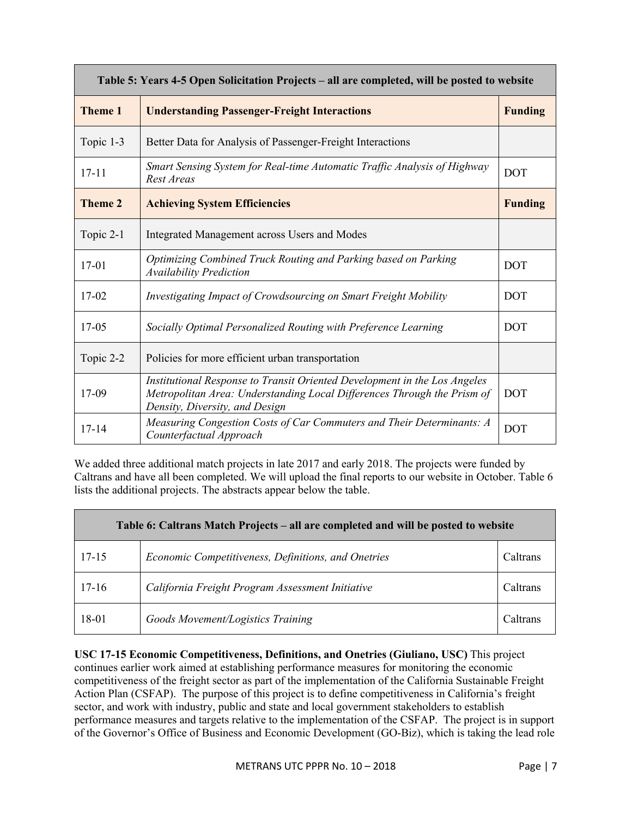| Table 5: Years 4-5 Open Solicitation Projects - all are completed, will be posted to website |                                                                                                                                                                                                      |            |
|----------------------------------------------------------------------------------------------|------------------------------------------------------------------------------------------------------------------------------------------------------------------------------------------------------|------------|
| <b>Theme 1</b>                                                                               | <b>Understanding Passenger-Freight Interactions</b>                                                                                                                                                  |            |
| Topic 1-3                                                                                    | Better Data for Analysis of Passenger-Freight Interactions                                                                                                                                           |            |
| $17 - 11$                                                                                    | Smart Sensing System for Real-time Automatic Traffic Analysis of Highway<br><b>DOT</b><br>Rest Areas                                                                                                 |            |
| <b>Theme 2</b>                                                                               | <b>Achieving System Efficiencies</b><br><b>Funding</b>                                                                                                                                               |            |
| Topic 2-1                                                                                    | Integrated Management across Users and Modes                                                                                                                                                         |            |
| $17-01$                                                                                      | Optimizing Combined Truck Routing and Parking based on Parking<br><b>DOT</b><br><b>Availability Prediction</b>                                                                                       |            |
| $17-02$                                                                                      | <b>DOT</b><br>Investigating Impact of Crowdsourcing on Smart Freight Mobility                                                                                                                        |            |
| $17 - 05$                                                                                    | Socially Optimal Personalized Routing with Preference Learning<br><b>DOT</b>                                                                                                                         |            |
| Topic 2-2                                                                                    | Policies for more efficient urban transportation                                                                                                                                                     |            |
| 17-09                                                                                        | Institutional Response to Transit Oriented Development in the Los Angeles<br>Metropolitan Area: Understanding Local Differences Through the Prism of<br><b>DOT</b><br>Density, Diversity, and Design |            |
| $17 - 14$                                                                                    | Measuring Congestion Costs of Car Commuters and Their Determinants: A<br>Counterfactual Approach                                                                                                     | <b>DOT</b> |

We added three additional match projects in late 2017 and early 2018. The projects were funded by Caltrans and have all been completed. We will upload the final reports to our website in October. Table 6 lists the additional projects. The abstracts appear below the table.

| Table 6: Caltrans Match Projects – all are completed and will be posted to website |                                                              |          |
|------------------------------------------------------------------------------------|--------------------------------------------------------------|----------|
| $17 - 15$                                                                          | Economic Competitiveness, Definitions, and Onetries          | Caltrans |
| $17 - 16$                                                                          | California Freight Program Assessment Initiative<br>Caltrans |          |
| 18-01                                                                              | Goods Movement/Logistics Training                            | Caltrans |

**USC 17-15 Economic Competitiveness, Definitions, and Onetries (Giuliano, USC)** This project continues earlier work aimed at establishing performance measures for monitoring the economic competitiveness of the freight sector as part of the implementation of the California Sustainable Freight Action Plan (CSFAP). The purpose of this project is to define competitiveness in California's freight sector, and work with industry, public and state and local government stakeholders to establish performance measures and targets relative to the implementation of the CSFAP. The project is in support of the Governor's Office of Business and Economic Development (GO-Biz), which is taking the lead role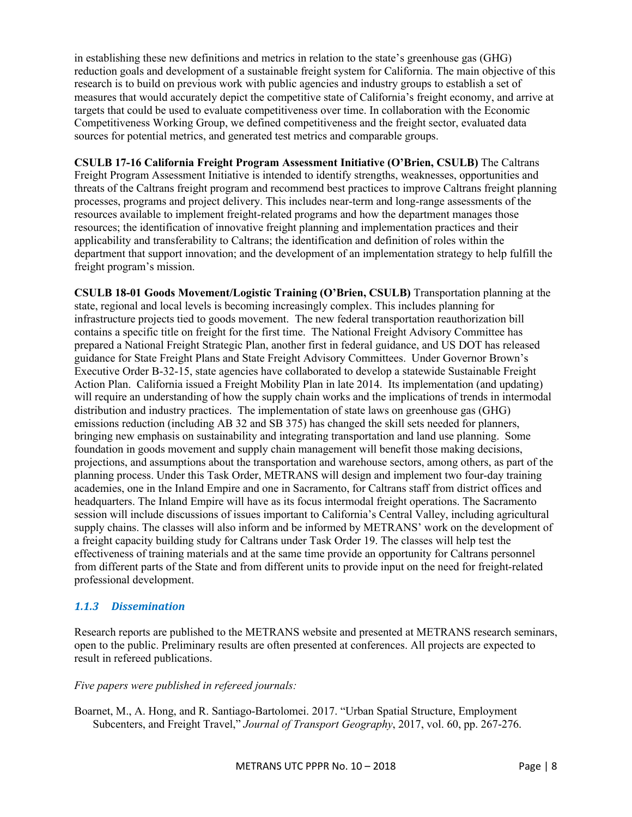in establishing these new definitions and metrics in relation to the state's greenhouse gas (GHG) reduction goals and development of a sustainable freight system for California. The main objective of this research is to build on previous work with public agencies and industry groups to establish a set of measures that would accurately depict the competitive state of California's freight economy, and arrive at targets that could be used to evaluate competitiveness over time. In collaboration with the Economic Competitiveness Working Group, we defined competitiveness and the freight sector, evaluated data sources for potential metrics, and generated test metrics and comparable groups.

**CSULB 17-16 California Freight Program Assessment Initiative (O'Brien, CSULB)** The Caltrans Freight Program Assessment Initiative is intended to identify strengths, weaknesses, opportunities and threats of the Caltrans freight program and recommend best practices to improve Caltrans freight planning processes, programs and project delivery. This includes near-term and long-range assessments of the resources available to implement freight-related programs and how the department manages those resources; the identification of innovative freight planning and implementation practices and their applicability and transferability to Caltrans; the identification and definition of roles within the department that support innovation; and the development of an implementation strategy to help fulfill the freight program's mission.

**CSULB 18-01 Goods Movement/Logistic Training (O'Brien, CSULB)** Transportation planning at the state, regional and local levels is becoming increasingly complex. This includes planning for infrastructure projects tied to goods movement. The new federal transportation reauthorization bill contains a specific title on freight for the first time. The National Freight Advisory Committee has prepared a National Freight Strategic Plan, another first in federal guidance, and US DOT has released guidance for State Freight Plans and State Freight Advisory Committees. Under Governor Brown's Executive Order B-32-15, state agencies have collaborated to develop a statewide Sustainable Freight Action Plan. California issued a Freight Mobility Plan in late 2014. Its implementation (and updating) will require an understanding of how the supply chain works and the implications of trends in intermodal distribution and industry practices. The implementation of state laws on greenhouse gas (GHG) emissions reduction (including AB 32 and SB 375) has changed the skill sets needed for planners, bringing new emphasis on sustainability and integrating transportation and land use planning. Some foundation in goods movement and supply chain management will benefit those making decisions, projections, and assumptions about the transportation and warehouse sectors, among others, as part of the planning process. Under this Task Order, METRANS will design and implement two four-day training academies, one in the Inland Empire and one in Sacramento, for Caltrans staff from district offices and headquarters. The Inland Empire will have as its focus intermodal freight operations. The Sacramento session will include discussions of issues important to California's Central Valley, including agricultural supply chains. The classes will also inform and be informed by METRANS' work on the development of a freight capacity building study for Caltrans under Task Order 19. The classes will help test the effectiveness of training materials and at the same time provide an opportunity for Caltrans personnel from different parts of the State and from different units to provide input on the need for freight-related professional development.

# *1.1.3 Dissemination*

Research reports are published to the METRANS website and presented at METRANS research seminars, open to the public. Preliminary results are often presented at conferences. All projects are expected to result in refereed publications.

#### *Five papers were published in refereed journals:*

Boarnet, M., A. Hong, and R. Santiago-Bartolomei. 2017. "Urban Spatial Structure, Employment Subcenters, and Freight Travel," *Journal of Transport Geography*, 2017, vol. 60, pp. 267-276.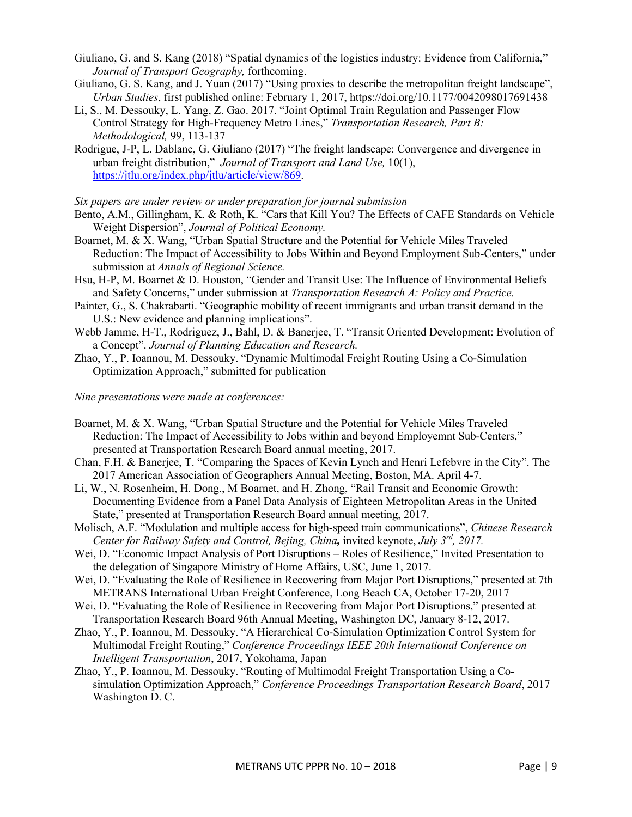- Giuliano, G. and S. Kang (2018) "Spatial dynamics of the logistics industry: Evidence from California," *Journal of Transport Geography,* forthcoming.
- Giuliano, G. S. Kang, and J. Yuan (2017) "Using proxies to describe the metropolitan freight landscape", *Urban Studies*, first published online: February 1, 2017, https://doi.org/10.1177/0042098017691438
- Li, S., M. Dessouky, L. Yang, Z. Gao. 2017. "Joint Optimal Train Regulation and Passenger Flow Control Strategy for High-Frequency Metro Lines," *Transportation Research, Part B: Methodological,* 99, 113-137
- Rodrigue, J-P, L. Dablanc, G. Giuliano (2017) "The freight landscape: Convergence and divergence in urban freight distribution," *Journal of Transport and Land Use,* 10(1), https://jtlu.org/index.php/jtlu/article/view/869.

*Six papers are under review or under preparation for journal submission*

- Bento, A.M., Gillingham, K. & Roth, K. "Cars that Kill You? The Effects of CAFE Standards on Vehicle Weight Dispersion", *Journal of Political Economy.*
- Boarnet, M. & X. Wang, "Urban Spatial Structure and the Potential for Vehicle Miles Traveled Reduction: The Impact of Accessibility to Jobs Within and Beyond Employment Sub-Centers," under submission at *Annals of Regional Science.*
- Hsu, H-P, M. Boarnet & D. Houston, "Gender and Transit Use: The Influence of Environmental Beliefs and Safety Concerns," under submission at *Transportation Research A: Policy and Practice.*
- Painter, G., S. Chakrabarti. "Geographic mobility of recent immigrants and urban transit demand in the U.S.: New evidence and planning implications".
- Webb Jamme, H-T., Rodriguez, J., Bahl, D. & Banerjee, T. "Transit Oriented Development: Evolution of a Concept". *Journal of Planning Education and Research.*
- Zhao, Y., P. Ioannou, M. Dessouky. "Dynamic Multimodal Freight Routing Using a Co-Simulation Optimization Approach," submitted for publication

*Nine presentations were made at conferences:*

- Boarnet, M. & X. Wang, "Urban Spatial Structure and the Potential for Vehicle Miles Traveled Reduction: The Impact of Accessibility to Jobs within and beyond Employemnt Sub-Centers," presented at Transportation Research Board annual meeting, 2017.
- Chan, F.H. & Banerjee, T. "Comparing the Spaces of Kevin Lynch and Henri Lefebvre in the City". The 2017 American Association of Geographers Annual Meeting, Boston, MA. April 4-7.
- Li, W., N. Rosenheim, H. Dong., M Boarnet, and H. Zhong, "Rail Transit and Economic Growth: Documenting Evidence from a Panel Data Analysis of Eighteen Metropolitan Areas in the United State," presented at Transportation Research Board annual meeting, 2017.
- Molisch, A.F. "Modulation and multiple access for high-speed train communications", *Chinese Research Center for Railway Safety and Control, Bejing, China,* invited keynote, *July 3rd, 2017.*
- Wei, D. "Economic Impact Analysis of Port Disruptions Roles of Resilience," Invited Presentation to the delegation of Singapore Ministry of Home Affairs, USC, June 1, 2017.
- Wei, D. "Evaluating the Role of Resilience in Recovering from Major Port Disruptions," presented at 7th METRANS International Urban Freight Conference, Long Beach CA, October 17-20, 2017
- Wei, D. "Evaluating the Role of Resilience in Recovering from Major Port Disruptions," presented at Transportation Research Board 96th Annual Meeting, Washington DC, January 8-12, 2017.
- Zhao, Y., P. Ioannou, M. Dessouky. "A Hierarchical Co-Simulation Optimization Control System for Multimodal Freight Routing," *Conference Proceedings IEEE 20th International Conference on Intelligent Transportation*, 2017, Yokohama, Japan
- Zhao, Y., P. Ioannou, M. Dessouky. "Routing of Multimodal Freight Transportation Using a Cosimulation Optimization Approach," *Conference Proceedings Transportation Research Board*, 2017 Washington D. C.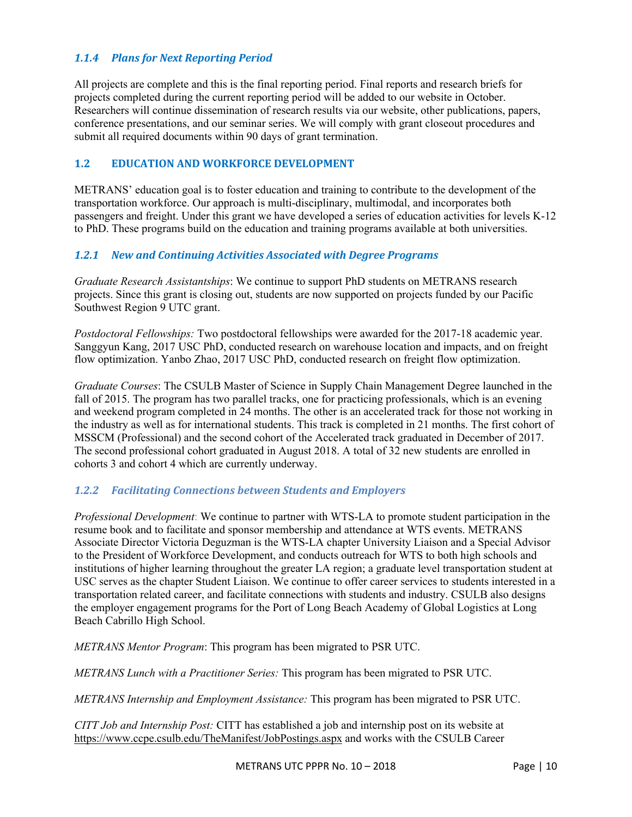### 1.1.4 **Plans for Next Reporting Period**

All projects are complete and this is the final reporting period. Final reports and research briefs for projects completed during the current reporting period will be added to our website in October. Researchers will continue dissemination of research results via our website, other publications, papers, conference presentations, and our seminar series. We will comply with grant closeout procedures and submit all required documents within 90 days of grant termination.

#### **1.2 EDUCATION AND WORKFORCE DEVELOPMENT**

METRANS' education goal is to foster education and training to contribute to the development of the transportation workforce. Our approach is multi-disciplinary, multimodal, and incorporates both passengers and freight. Under this grant we have developed a series of education activities for levels K-12 to PhD. These programs build on the education and training programs available at both universities.

#### *1.2.1 New and Continuing Activities Associated with Degree Programs*

*Graduate Research Assistantships*: We continue to support PhD students on METRANS research projects. Since this grant is closing out, students are now supported on projects funded by our Pacific Southwest Region 9 UTC grant.

*Postdoctoral Fellowships:* Two postdoctoral fellowships were awarded for the 2017-18 academic year. Sanggyun Kang, 2017 USC PhD, conducted research on warehouse location and impacts, and on freight flow optimization. Yanbo Zhao, 2017 USC PhD, conducted research on freight flow optimization.

*Graduate Courses*: The CSULB Master of Science in Supply Chain Management Degree launched in the fall of 2015. The program has two parallel tracks, one for practicing professionals, which is an evening and weekend program completed in 24 months. The other is an accelerated track for those not working in the industry as well as for international students. This track is completed in 21 months. The first cohort of MSSCM (Professional) and the second cohort of the Accelerated track graduated in December of 2017. The second professional cohort graduated in August 2018. A total of 32 new students are enrolled in cohorts 3 and cohort 4 which are currently underway.

#### *1.2.2 Facilitating Connections between Students and Employers*

*Professional Development*: We continue to partner with WTS-LA to promote student participation in the resume book and to facilitate and sponsor membership and attendance at WTS events. METRANS Associate Director Victoria Deguzman is the WTS-LA chapter University Liaison and a Special Advisor to the President of Workforce Development, and conducts outreach for WTS to both high schools and institutions of higher learning throughout the greater LA region; a graduate level transportation student at USC serves as the chapter Student Liaison. We continue to offer career services to students interested in a transportation related career, and facilitate connections with students and industry. CSULB also designs the employer engagement programs for the Port of Long Beach Academy of Global Logistics at Long Beach Cabrillo High School.

*METRANS Mentor Program*: This program has been migrated to PSR UTC.

*METRANS Lunch with a Practitioner Series:* This program has been migrated to PSR UTC.

*METRANS Internship and Employment Assistance:* This program has been migrated to PSR UTC.

*CITT Job and Internship Post:* CITT has established a job and internship post on its website at https://www.ccpe.csulb.edu/TheManifest/JobPostings.aspx and works with the CSULB Career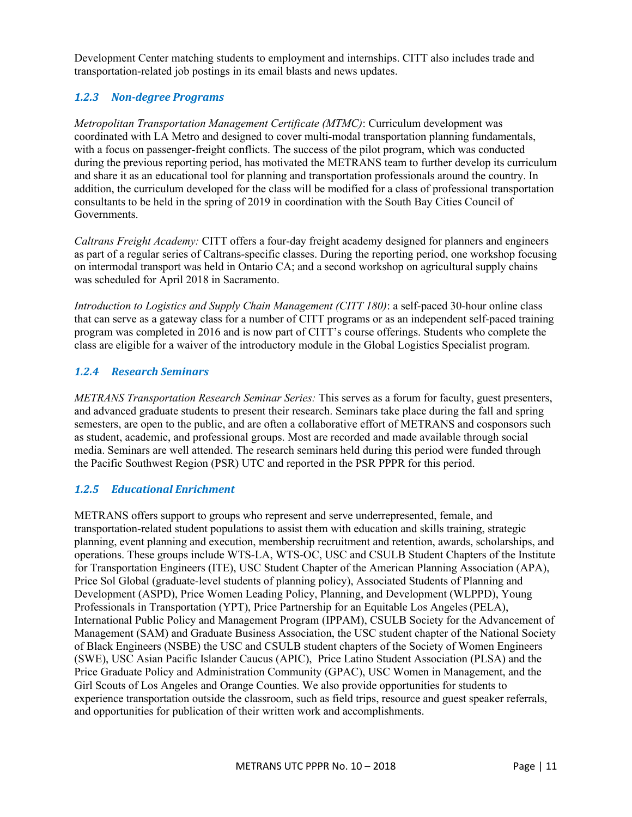Development Center matching students to employment and internships. CITT also includes trade and transportation-related job postings in its email blasts and news updates.

# *1.2.3 Non-degree Programs*

*Metropolitan Transportation Management Certificate (MTMC)*: Curriculum development was coordinated with LA Metro and designed to cover multi-modal transportation planning fundamentals, with a focus on passenger-freight conflicts. The success of the pilot program, which was conducted during the previous reporting period, has motivated the METRANS team to further develop its curriculum and share it as an educational tool for planning and transportation professionals around the country. In addition, the curriculum developed for the class will be modified for a class of professional transportation consultants to be held in the spring of 2019 in coordination with the South Bay Cities Council of Governments.

*Caltrans Freight Academy:* CITT offers a four-day freight academy designed for planners and engineers as part of a regular series of Caltrans-specific classes. During the reporting period, one workshop focusing on intermodal transport was held in Ontario CA; and a second workshop on agricultural supply chains was scheduled for April 2018 in Sacramento.

*Introduction to Logistics and Supply Chain Management (CITT 180)*: a self-paced 30-hour online class that can serve as a gateway class for a number of CITT programs or as an independent self-paced training program was completed in 2016 and is now part of CITT's course offerings. Students who complete the class are eligible for a waiver of the introductory module in the Global Logistics Specialist program.

### *1.2.4 Research Seminars*

*METRANS Transportation Research Seminar Series:* This serves as a forum for faculty, guest presenters, and advanced graduate students to present their research. Seminars take place during the fall and spring semesters, are open to the public, and are often a collaborative effort of METRANS and cosponsors such as student, academic, and professional groups. Most are recorded and made available through social media. Seminars are well attended. The research seminars held during this period were funded through the Pacific Southwest Region (PSR) UTC and reported in the PSR PPPR for this period.

#### *1.2.5 Educational Enrichment*

METRANS offers support to groups who represent and serve underrepresented, female, and transportation-related student populations to assist them with education and skills training, strategic planning, event planning and execution, membership recruitment and retention, awards, scholarships, and operations. These groups include WTS-LA, WTS-OC, USC and CSULB Student Chapters of the Institute for Transportation Engineers (ITE), USC Student Chapter of the American Planning Association (APA), Price Sol Global (graduate-level students of planning policy), Associated Students of Planning and Development (ASPD), Price Women Leading Policy, Planning, and Development (WLPPD), Young Professionals in Transportation (YPT), Price Partnership for an Equitable Los Angeles (PELA), International Public Policy and Management Program (IPPAM), CSULB Society for the Advancement of Management (SAM) and Graduate Business Association, the USC student chapter of the National Society of Black Engineers (NSBE) the USC and CSULB student chapters of the Society of Women Engineers (SWE), USC Asian Pacific Islander Caucus (APIC), Price Latino Student Association (PLSA) and the Price Graduate Policy and Administration Community (GPAC), USC Women in Management, and the Girl Scouts of Los Angeles and Orange Counties. We also provide opportunities for students to experience transportation outside the classroom, such as field trips, resource and guest speaker referrals, and opportunities for publication of their written work and accomplishments.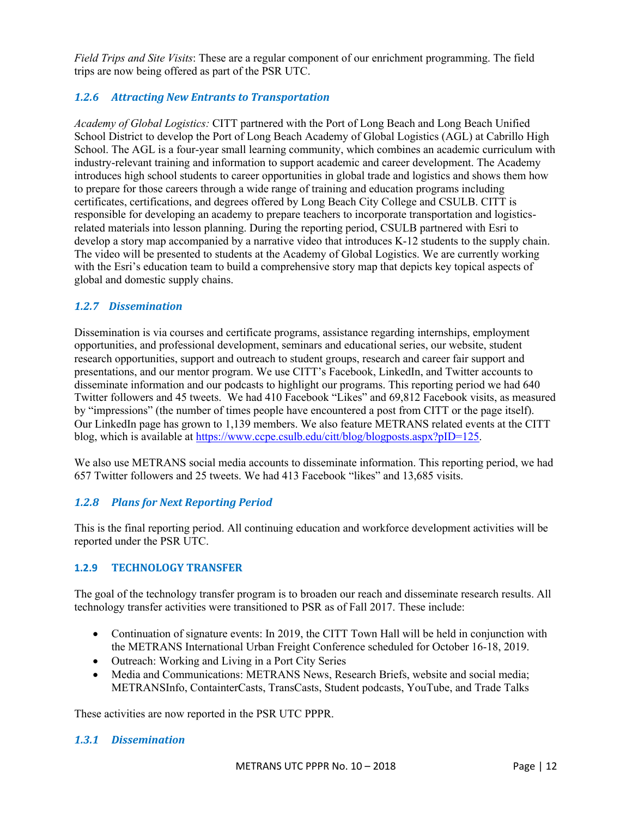*Field Trips and Site Visits*: These are a regular component of our enrichment programming. The field trips are now being offered as part of the PSR UTC.

# **1.2.6** Attracting New Entrants to Transportation

*Academy of Global Logistics:* CITT partnered with the Port of Long Beach and Long Beach Unified School District to develop the Port of Long Beach Academy of Global Logistics (AGL) at Cabrillo High School. The AGL is a four-year small learning community, which combines an academic curriculum with industry-relevant training and information to support academic and career development. The Academy introduces high school students to career opportunities in global trade and logistics and shows them how to prepare for those careers through a wide range of training and education programs including certificates, certifications, and degrees offered by Long Beach City College and CSULB. CITT is responsible for developing an academy to prepare teachers to incorporate transportation and logisticsrelated materials into lesson planning. During the reporting period, CSULB partnered with Esri to develop a story map accompanied by a narrative video that introduces K-12 students to the supply chain. The video will be presented to students at the Academy of Global Logistics. We are currently working with the Esri's education team to build a comprehensive story map that depicts key topical aspects of global and domestic supply chains.

# *1.2.7 Dissemination*

Dissemination is via courses and certificate programs, assistance regarding internships, employment opportunities, and professional development, seminars and educational series, our website, student research opportunities, support and outreach to student groups, research and career fair support and presentations, and our mentor program. We use CITT's Facebook, LinkedIn, and Twitter accounts to disseminate information and our podcasts to highlight our programs. This reporting period we had 640 Twitter followers and 45 tweets. We had 410 Facebook "Likes" and 69,812 Facebook visits, as measured by "impressions" (the number of times people have encountered a post from CITT or the page itself). Our LinkedIn page has grown to 1,139 members. We also feature METRANS related events at the CITT blog, which is available at https://www.ccpe.csulb.edu/citt/blog/blogposts.aspx?pID=125.

We also use METRANS social media accounts to disseminate information. This reporting period, we had 657 Twitter followers and 25 tweets. We had 413 Facebook "likes" and 13,685 visits.

# 1.2.8 **Plans for Next Reporting Period**

This is the final reporting period. All continuing education and workforce development activities will be reported under the PSR UTC.

#### **1.2.9 TECHNOLOGY TRANSFER**

The goal of the technology transfer program is to broaden our reach and disseminate research results. All technology transfer activities were transitioned to PSR as of Fall 2017. These include:

- Continuation of signature events: In 2019, the CITT Town Hall will be held in conjunction with the METRANS International Urban Freight Conference scheduled for October 16-18, 2019.
- Outreach: Working and Living in a Port City Series
- Media and Communications: METRANS News, Research Briefs, website and social media; METRANSInfo, ContainterCasts, TransCasts, Student podcasts, YouTube, and Trade Talks

These activities are now reported in the PSR UTC PPPR.

# *1.3.1 Dissemination*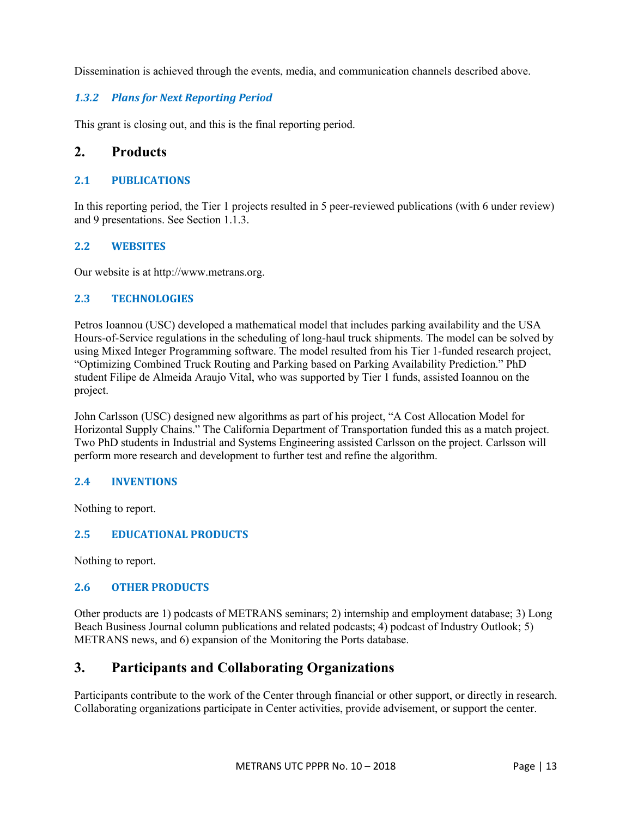Dissemination is achieved through the events, media, and communication channels described above.

# 1.3.2 **Plans for Next Reporting Period**

This grant is closing out, and this is the final reporting period.

# **2. Products**

#### **2.1 PUBLICATIONS**

In this reporting period, the Tier 1 projects resulted in 5 peer-reviewed publications (with 6 under review) and 9 presentations. See Section 1.1.3.

### **2.2 WEBSITES**

Our website is at http://www.metrans.org.

### **2.3 TECHNOLOGIES**

Petros Ioannou (USC) developed a mathematical model that includes parking availability and the USA Hours-of-Service regulations in the scheduling of long-haul truck shipments. The model can be solved by using Mixed Integer Programming software. The model resulted from his Tier 1-funded research project, "Optimizing Combined Truck Routing and Parking based on Parking Availability Prediction." PhD student Filipe de Almeida Araujo Vital, who was supported by Tier 1 funds, assisted Ioannou on the project.

John Carlsson (USC) designed new algorithms as part of his project, "A Cost Allocation Model for Horizontal Supply Chains." The California Department of Transportation funded this as a match project. Two PhD students in Industrial and Systems Engineering assisted Carlsson on the project. Carlsson will perform more research and development to further test and refine the algorithm.

#### **2.4 INVENTIONS**

Nothing to report.

# **2.5 EDUCATIONAL PRODUCTS**

Nothing to report.

# **2.6 OTHER PRODUCTS**

Other products are 1) podcasts of METRANS seminars; 2) internship and employment database; 3) Long Beach Business Journal column publications and related podcasts; 4) podcast of Industry Outlook; 5) METRANS news, and 6) expansion of the Monitoring the Ports database.

# **3. Participants and Collaborating Organizations**

Participants contribute to the work of the Center through financial or other support, or directly in research. Collaborating organizations participate in Center activities, provide advisement, or support the center.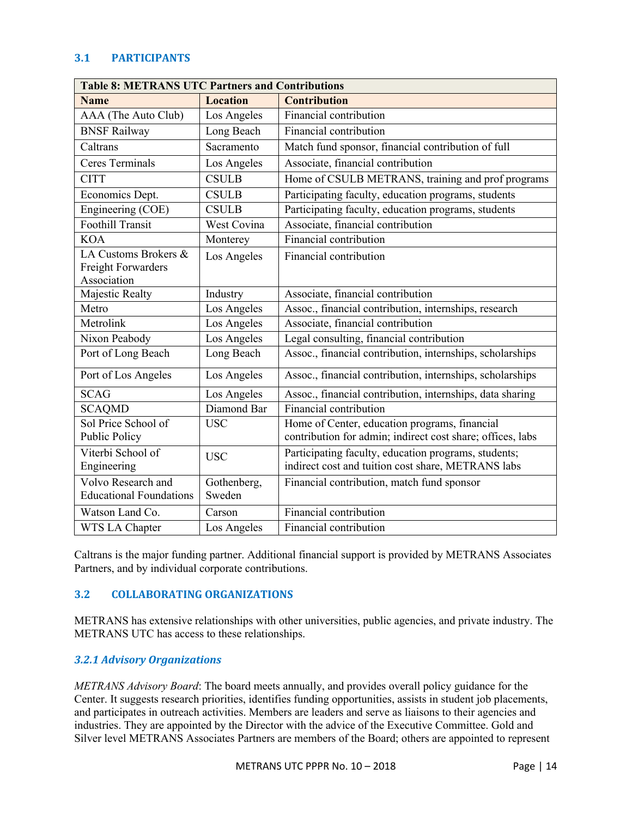#### **3.1 PARTICIPANTS**

| <b>Table 8: METRANS UTC Partners and Contributions</b>           |                       |                                                                                                             |
|------------------------------------------------------------------|-----------------------|-------------------------------------------------------------------------------------------------------------|
| <b>Name</b>                                                      | <b>Location</b>       | <b>Contribution</b>                                                                                         |
| AAA (The Auto Club)                                              | Los Angeles           | Financial contribution                                                                                      |
| <b>BNSF Railway</b>                                              | Long Beach            | Financial contribution                                                                                      |
| Caltrans                                                         | Sacramento            | Match fund sponsor, financial contribution of full                                                          |
| <b>Ceres Terminals</b>                                           | Los Angeles           | Associate, financial contribution                                                                           |
| <b>CITT</b>                                                      | <b>CSULB</b>          | Home of CSULB METRANS, training and prof programs                                                           |
| Economics Dept.                                                  | <b>CSULB</b>          | Participating faculty, education programs, students                                                         |
| Engineering (COE)                                                | <b>CSULB</b>          | Participating faculty, education programs, students                                                         |
| <b>Foothill Transit</b>                                          | West Covina           | Associate, financial contribution                                                                           |
| <b>KOA</b>                                                       | Monterey              | Financial contribution                                                                                      |
| LA Customs Brokers &<br><b>Freight Forwarders</b><br>Association | Los Angeles           | Financial contribution                                                                                      |
| Majestic Realty                                                  | Industry              | Associate, financial contribution                                                                           |
| Metro                                                            | Los Angeles           | Assoc., financial contribution, internships, research                                                       |
| Metrolink                                                        | Los Angeles           | Associate, financial contribution                                                                           |
| Nixon Peabody                                                    | Los Angeles           | Legal consulting, financial contribution                                                                    |
| Port of Long Beach                                               | Long Beach            | Assoc., financial contribution, internships, scholarships                                                   |
| Port of Los Angeles                                              | Los Angeles           | Assoc., financial contribution, internships, scholarships                                                   |
| <b>SCAG</b>                                                      | Los Angeles           | Assoc., financial contribution, internships, data sharing                                                   |
| <b>SCAQMD</b>                                                    | Diamond Bar           | Financial contribution                                                                                      |
| Sol Price School of<br>Public Policy                             | <b>USC</b>            | Home of Center, education programs, financial<br>contribution for admin; indirect cost share; offices, labs |
| Viterbi School of<br>Engineering                                 | <b>USC</b>            | Participating faculty, education programs, students;<br>indirect cost and tuition cost share, METRANS labs  |
| Volvo Research and<br><b>Educational Foundations</b>             | Gothenberg,<br>Sweden | Financial contribution, match fund sponsor                                                                  |
| Watson Land Co.                                                  | Carson                | Financial contribution                                                                                      |
| WTS LA Chapter                                                   | Los Angeles           | Financial contribution                                                                                      |

Caltrans is the major funding partner. Additional financial support is provided by METRANS Associates Partners, and by individual corporate contributions.

#### **3.2 COLLABORATING ORGANIZATIONS**

METRANS has extensive relationships with other universities, public agencies, and private industry. The METRANS UTC has access to these relationships.

#### *3.2.1 Advisory Organizations*

*METRANS Advisory Board*: The board meets annually, and provides overall policy guidance for the Center. It suggests research priorities, identifies funding opportunities, assists in student job placements, and participates in outreach activities. Members are leaders and serve as liaisons to their agencies and industries. They are appointed by the Director with the advice of the Executive Committee. Gold and Silver level METRANS Associates Partners are members of the Board; others are appointed to represent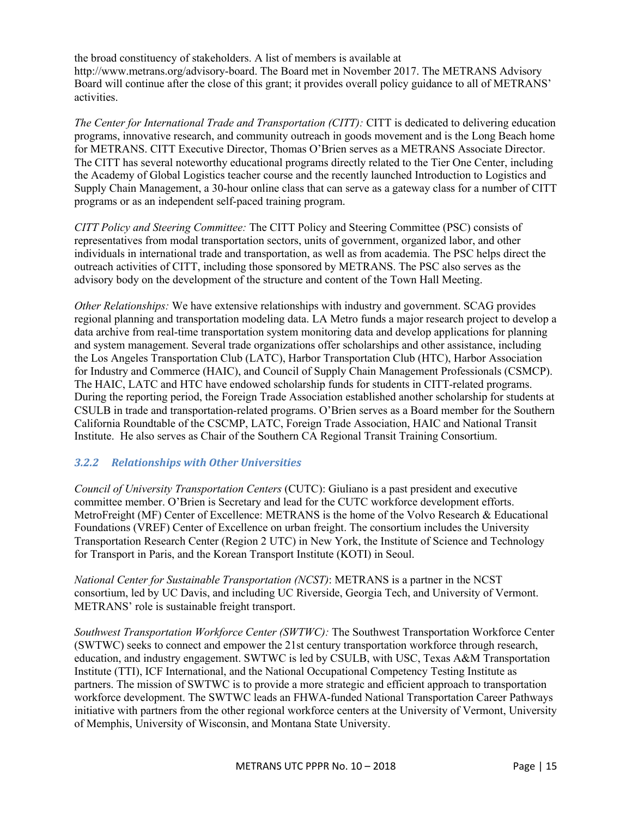the broad constituency of stakeholders. A list of members is available at http://www.metrans.org/advisory-board. The Board met in November 2017. The METRANS Advisory Board will continue after the close of this grant; it provides overall policy guidance to all of METRANS' activities.

*The Center for International Trade and Transportation (CITT):* CITT is dedicated to delivering education programs, innovative research, and community outreach in goods movement and is the Long Beach home for METRANS. CITT Executive Director, Thomas O'Brien serves as a METRANS Associate Director. The CITT has several noteworthy educational programs directly related to the Tier One Center, including the Academy of Global Logistics teacher course and the recently launched Introduction to Logistics and Supply Chain Management, a 30-hour online class that can serve as a gateway class for a number of CITT programs or as an independent self-paced training program.

*CITT Policy and Steering Committee:* The CITT Policy and Steering Committee (PSC) consists of representatives from modal transportation sectors, units of government, organized labor, and other individuals in international trade and transportation, as well as from academia. The PSC helps direct the outreach activities of CITT, including those sponsored by METRANS. The PSC also serves as the advisory body on the development of the structure and content of the Town Hall Meeting.

*Other Relationships:* We have extensive relationships with industry and government. SCAG provides regional planning and transportation modeling data. LA Metro funds a major research project to develop a data archive from real-time transportation system monitoring data and develop applications for planning and system management. Several trade organizations offer scholarships and other assistance, including the Los Angeles Transportation Club (LATC), Harbor Transportation Club (HTC), Harbor Association for Industry and Commerce (HAIC), and Council of Supply Chain Management Professionals (CSMCP). The HAIC, LATC and HTC have endowed scholarship funds for students in CITT-related programs. During the reporting period, the Foreign Trade Association established another scholarship for students at CSULB in trade and transportation-related programs. O'Brien serves as a Board member for the Southern California Roundtable of the CSCMP, LATC, Foreign Trade Association, HAIC and National Transit Institute. He also serves as Chair of the Southern CA Regional Transit Training Consortium.

# *3.2.2 Relationships with Other Universities*

*Council of University Transportation Centers* (CUTC): Giuliano is a past president and executive committee member. O'Brien is Secretary and lead for the CUTC workforce development efforts. MetroFreight (MF) Center of Excellence: METRANS is the home of the Volvo Research & Educational Foundations (VREF) Center of Excellence on urban freight. The consortium includes the University Transportation Research Center (Region 2 UTC) in New York, the Institute of Science and Technology for Transport in Paris, and the Korean Transport Institute (KOTI) in Seoul.

*National Center for Sustainable Transportation (NCST)*: METRANS is a partner in the NCST consortium, led by UC Davis, and including UC Riverside, Georgia Tech, and University of Vermont. METRANS' role is sustainable freight transport.

*Southwest Transportation Workforce Center (SWTWC):* The Southwest Transportation Workforce Center (SWTWC) seeks to connect and empower the 21st century transportation workforce through research, education, and industry engagement. SWTWC is led by CSULB, with USC, Texas A&M Transportation Institute (TTI), ICF International, and the National Occupational Competency Testing Institute as partners. The mission of SWTWC is to provide a more strategic and efficient approach to transportation workforce development. The SWTWC leads an FHWA-funded National Transportation Career Pathways initiative with partners from the other regional workforce centers at the University of Vermont, University of Memphis, University of Wisconsin, and Montana State University.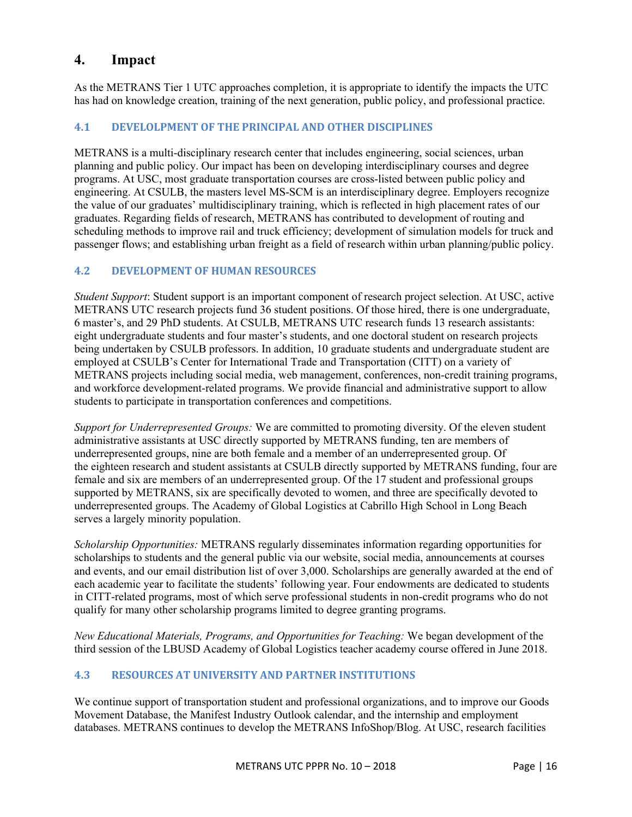# **4. Impact**

As the METRANS Tier 1 UTC approaches completion, it is appropriate to identify the impacts the UTC has had on knowledge creation, training of the next generation, public policy, and professional practice.

### **4.1 DEVELOLPMENT OF THE PRINCIPAL AND OTHER DISCIPLINES**

METRANS is a multi-disciplinary research center that includes engineering, social sciences, urban planning and public policy. Our impact has been on developing interdisciplinary courses and degree programs. At USC, most graduate transportation courses are cross-listed between public policy and engineering. At CSULB, the masters level MS-SCM is an interdisciplinary degree. Employers recognize the value of our graduates' multidisciplinary training, which is reflected in high placement rates of our graduates. Regarding fields of research, METRANS has contributed to development of routing and scheduling methods to improve rail and truck efficiency; development of simulation models for truck and passenger flows; and establishing urban freight as a field of research within urban planning/public policy.

#### **4.2 DEVELOPMENT OF HUMAN RESOURCES**

*Student Support*: Student support is an important component of research project selection. At USC, active METRANS UTC research projects fund 36 student positions. Of those hired, there is one undergraduate, 6 master's, and 29 PhD students. At CSULB, METRANS UTC research funds 13 research assistants: eight undergraduate students and four master's students, and one doctoral student on research projects being undertaken by CSULB professors. In addition, 10 graduate students and undergraduate student are employed at CSULB's Center for International Trade and Transportation (CITT) on a variety of METRANS projects including social media, web management, conferences, non-credit training programs, and workforce development-related programs. We provide financial and administrative support to allow students to participate in transportation conferences and competitions.

*Support for Underrepresented Groups:* We are committed to promoting diversity. Of the eleven student administrative assistants at USC directly supported by METRANS funding, ten are members of underrepresented groups, nine are both female and a member of an underrepresented group. Of the eighteen research and student assistants at CSULB directly supported by METRANS funding, four are female and six are members of an underrepresented group. Of the 17 student and professional groups supported by METRANS, six are specifically devoted to women, and three are specifically devoted to underrepresented groups. The Academy of Global Logistics at Cabrillo High School in Long Beach serves a largely minority population.

*Scholarship Opportunities:* METRANS regularly disseminates information regarding opportunities for scholarships to students and the general public via our website, social media, announcements at courses and events, and our email distribution list of over 3,000. Scholarships are generally awarded at the end of each academic year to facilitate the students' following year. Four endowments are dedicated to students in CITT-related programs, most of which serve professional students in non-credit programs who do not qualify for many other scholarship programs limited to degree granting programs.

*New Educational Materials, Programs, and Opportunities for Teaching:* We began development of the third session of the LBUSD Academy of Global Logistics teacher academy course offered in June 2018.

### **4.3 RESOURCES AT UNIVERSITY AND PARTNER INSTITUTIONS**

We continue support of transportation student and professional organizations, and to improve our Goods Movement Database, the Manifest Industry Outlook calendar, and the internship and employment databases. METRANS continues to develop the METRANS InfoShop/Blog. At USC, research facilities